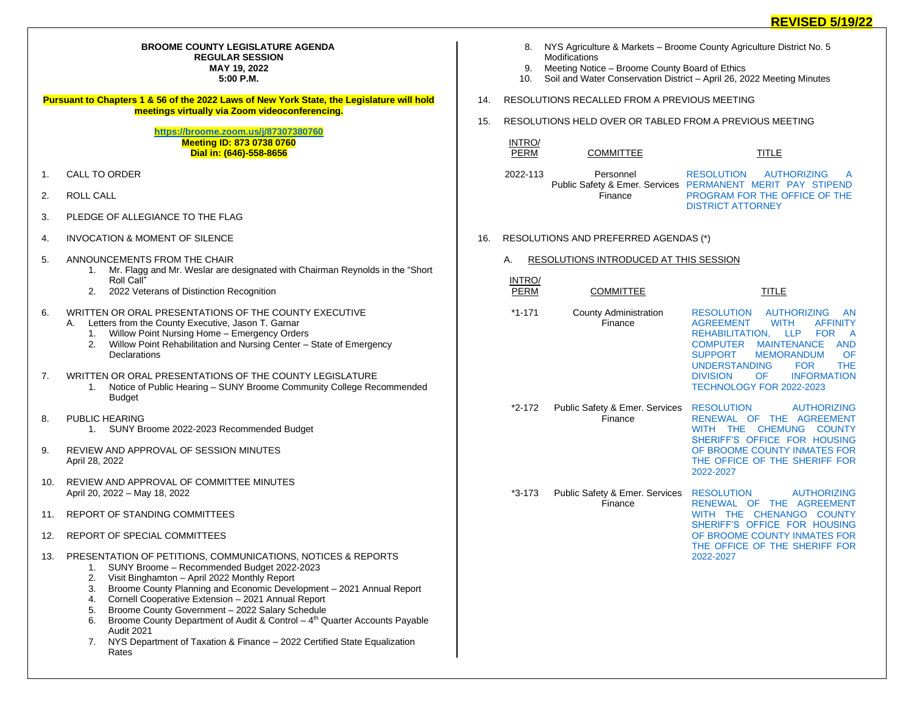## **BROOME COUNTY LEGISLATURE AGENDA REGULAR SESSION MAY 19, 2022 5:00 P.M.**

**Pursuant to Chapters 1 & 56 of the 2022 Laws of New York State, the Legislature will hold meetings virtually via Zoom videoconferencing.**

> **<https://broome.zoom.us/j/87307380760> Meeting ID: 873 0738 0760 Dial in: (646)-558-8656**

- 1. CALL TO ORDER
- 2. ROLL CALL
- 3. PLEDGE OF ALLEGIANCE TO THE FLAG
- 4. INVOCATION & MOMENT OF SILENCE
- 5. ANNOUNCEMENTS FROM THE CHAIR
	- 1. Mr. Flagg and Mr. Weslar are designated with Chairman Reynolds in the "Short Roll Call"
	- 2. 2022 Veterans of Distinction Recognition
- 6. WRITTEN OR ORAL PRESENTATIONS OF THE COUNTY EXECUTIVE
	- A. Letters from the County Executive, Jason T. Garnar
		- 1. Willow Point Nursing Home Emergency Orders
		- 2. Willow Point Rehabilitation and Nursing Center State of Emergency **Declarations**
- 7. WRITTEN OR ORAL PRESENTATIONS OF THE COUNTY LEGISLATURE
	- 1. Notice of Public Hearing SUNY Broome Community College Recommended **Budget**
- 8. PUBLIC HEARING
	- 1. SUNY Broome 2022-2023 Recommended Budget
- 9. REVIEW AND APPROVAL OF SESSION MINUTES April 28, 2022
- 10. REVIEW AND APPROVAL OF COMMITTEE MINUTES April 20, 2022 – May 18, 2022
- 11. REPORT OF STANDING COMMITTEES
- 12. REPORT OF SPECIAL COMMITTEES
- 13. PRESENTATION OF PETITIONS, COMMUNICATIONS, NOTICES & REPORTS
	- 1. SUNY Broome Recommended Budget 2022-2023
	- 2. Visit Binghamton April 2022 Monthly Report
	- 3. Broome County Planning and Economic Development 2021 Annual Report
	- 4. Cornell Cooperative Extension 2021 Annual Report
	- 5. Broome County Government 2022 Salary Schedule
	- 6. Broome County Department of Audit & Control  $-4<sup>th</sup>$  Quarter Accounts Payable Audit 2021
	- 7. NYS Department of Taxation & Finance 2022 Certified State Equalization Rates
- 8. NYS Agriculture & Markets Broome County Agriculture District No. 5 **Modifications**
- 9. Meeting Notice Broome County Board of Ethics<br>10. Soil and Water Conservation District April 26, 20
- 10. Soil and Water Conservation District April 26, 2022 Meeting Minutes
- 14. RESOLUTIONS RECALLED FROM A PREVIOUS MEETING
- 15. RESOLUTIONS HELD OVER OR TABLED FROM A PREVIOUS MEETING

```
INTRO/
```

```
PERM COMMITTEE TITLE
```
2022-113 Personnel Public Safety & Emer. Services [PERMANENT MERIT PAY STIPEND](https://www.gobroomecounty.com/sites/default/files/dept/legis/03172022-38.pdf)  Finance RESOLUTION AUTHORIZING [PROGRAM FOR THE OFFICE OF THE](https://www.gobroomecounty.com/sites/default/files/dept/legis/03172022-38.pdf)  [DISTRICT ATTORNEY](https://www.gobroomecounty.com/sites/default/files/dept/legis/03172022-38.pdf)

- 16. RESOLUTIONS AND PREFERRED AGENDAS (\*)
	- A. RESOLUTIONS INTRODUCED AT THIS SESSION
	- INTRO/ PERM COMMITTEE TITLE
	- \*1-171 County Administration Finance [RESOLUTION AUTHORIZING AN](https://www.gobroomecounty.com/sites/default/files/dept/legis/05192022-01.pdf)  [AGREEMENT WITH AFFINITY](https://www.gobroomecounty.com/sites/default/files/dept/legis/05192022-01.pdf)  [REHABILITATION, LLP FOR A](https://www.gobroomecounty.com/sites/default/files/dept/legis/05192022-01.pdf)  [COMPUTER MAINTENANCE AND](https://www.gobroomecounty.com/sites/default/files/dept/legis/05192022-01.pdf)  [SUPPORT MEMORANDUM OF](https://www.gobroomecounty.com/sites/default/files/dept/legis/05192022-01.pdf)  UNDERSTANDING FOR THE<br>DIVISION OF INFORMATION **INFORMATION** [TECHNOLOGY FOR 2022-2023](https://www.gobroomecounty.com/sites/default/files/dept/legis/05192022-01.pdf)
	- \*2-172 Public Safety & Emer. Services [RESOLUTION AUTHORIZING](https://www.gobroomecounty.com/sites/default/files/dept/legis/05192022-02.pdf)  Finance [RENEWAL OF THE AGREEMENT](https://www.gobroomecounty.com/sites/default/files/dept/legis/05192022-02.pdf)  [WITH THE CHEMUNG COUNTY](https://www.gobroomecounty.com/sites/default/files/dept/legis/05192022-02.pdf)  [SHERIFF'S OFFICE FOR HOUSING](https://www.gobroomecounty.com/sites/default/files/dept/legis/05192022-02.pdf)  [OF BROOME COUNTY INMATES FOR](https://www.gobroomecounty.com/sites/default/files/dept/legis/05192022-02.pdf)  [THE OFFICE OF THE SHERIFF FOR](https://www.gobroomecounty.com/sites/default/files/dept/legis/05192022-02.pdf)  [2022-2027](https://www.gobroomecounty.com/sites/default/files/dept/legis/05192022-02.pdf)
	- \*3-173 Public Safety & Emer. Services [RESOLUTION AUTHORIZING](https://www.gobroomecounty.com/sites/default/files/dept/legis/05192022-03.pdf)  Finance [RENEWAL OF THE AGREEMENT](https://www.gobroomecounty.com/sites/default/files/dept/legis/05192022-03.pdf)  [WITH THE CHENANGO COUNTY](https://www.gobroomecounty.com/sites/default/files/dept/legis/05192022-03.pdf)  [SHERIFF'S OFFICE FOR HOUSING](https://www.gobroomecounty.com/sites/default/files/dept/legis/05192022-03.pdf)  [OF BROOME COUNTY INMATES FOR](https://www.gobroomecounty.com/sites/default/files/dept/legis/05192022-03.pdf)  [THE OFFICE OF THE SHERIFF FOR](https://www.gobroomecounty.com/sites/default/files/dept/legis/05192022-03.pdf)  [2022-2027](https://www.gobroomecounty.com/sites/default/files/dept/legis/05192022-03.pdf)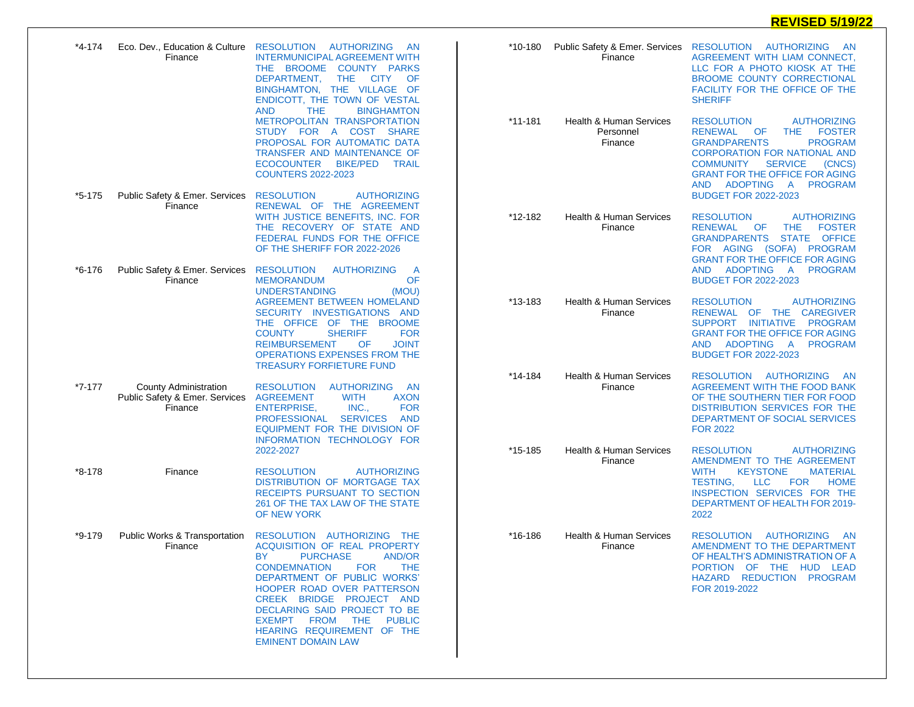## **REVISED 5/19/22**

| *4-174   | Eco. Dev., Education & Culture<br>Finance                                                                                                                                                                                           | RESOLUTION AUTHORIZING<br><b>AN</b><br><b>INTERMUNICIPAL AGREEMENT WITH</b><br>THE BROOME COUNTY PARKS<br>DEPARTMENT,<br>THE.<br><b>CITY</b><br>OF<br>BINGHAMTON, THE VILLAGE OF<br>ENDICOTT, THE TOWN OF VESTAL<br><b>AND</b><br><b>THE</b><br><b>BINGHAMTON</b>                                                                          | *10-180     | Public Safety & Emer. Services<br>Finance                                                                                                                                                        | RESOLUTION AUTHORIZING<br>-AN<br>AGREEMENT WITH LIAM CONNECT,<br>LLC FOR A PHOTO KIOSK AT THE<br>BROOME COUNTY CORRECTIONAL<br>FACILITY FOR THE OFFICE OF THE<br><b>SHERIFF</b>                                                                                                                                |
|----------|-------------------------------------------------------------------------------------------------------------------------------------------------------------------------------------------------------------------------------------|--------------------------------------------------------------------------------------------------------------------------------------------------------------------------------------------------------------------------------------------------------------------------------------------------------------------------------------------|-------------|--------------------------------------------------------------------------------------------------------------------------------------------------------------------------------------------------|----------------------------------------------------------------------------------------------------------------------------------------------------------------------------------------------------------------------------------------------------------------------------------------------------------------|
|          |                                                                                                                                                                                                                                     | <b>METROPOLITAN TRANSPORTATION</b><br>STUDY FOR A COST SHARE<br>PROPOSAL FOR AUTOMATIC DATA<br>TRANSFER AND MAINTENANCE OF<br><b>ECOCOUNTER</b><br><b>BIKE/PED</b><br><b>TRAIL</b><br><b>COUNTERS 2022-2023</b>                                                                                                                            | $*11 - 181$ | <b>Health &amp; Human Services</b><br>Personnel<br>Finance                                                                                                                                       | <b>RESOLUTION</b><br><b>AUTHORIZING</b><br>OF<br><b>THE</b><br><b>FOSTER</b><br><b>RENEWAL</b><br><b>PROGRAM</b><br><b>GRANDPARENTS</b><br><b>CORPORATION FOR NATIONAL AND</b><br><b>SERVICE</b><br><b>COMMUNITY</b><br>(CNCS)<br><b>GRANT FOR THE OFFICE FOR AGING</b><br>ADOPTING<br>A PROGRAM<br><b>AND</b> |
| *5-175   | Public Safety & Emer. Services<br>Finance                                                                                                                                                                                           | <b>AUTHORIZING</b><br><b>RESOLUTION</b><br>RENEWAL OF THE AGREEMENT<br>WITH JUSTICE BENEFITS, INC. FOR<br>THE RECOVERY OF STATE AND<br>FEDERAL FUNDS FOR THE OFFICE<br>OF THE SHERIFF FOR 2022-2026                                                                                                                                        | *12-182     | <b>Health &amp; Human Services</b><br>Finance                                                                                                                                                    | <b>BUDGET FOR 2022-2023</b><br><b>RESOLUTION</b><br><b>AUTHORIZING</b><br><b>FOSTER</b><br><b>RENEWAL</b><br>OF<br><b>THE</b><br>STATE OFFICE<br><b>GRANDPARENTS</b><br>FOR AGING (SOFA) PROGRAM<br><b>GRANT FOR THE OFFICE FOR AGING</b>                                                                      |
| *6-176   | Public Safety & Emer. Services<br>Finance                                                                                                                                                                                           | <b>RESOLUTION</b><br><b>AUTHORIZING</b><br>A<br>OF<br><b>MEMORANDUM</b><br><b>UNDERSTANDING</b><br>(MOU)<br>AGREEMENT BETWEEN HOMELAND                                                                                                                                                                                                     | *13-183     | <b>Health &amp; Human Services</b>                                                                                                                                                               | ADOPTING<br><b>PROGRAM</b><br>AND<br>$\overline{A}$<br><b>BUDGET FOR 2022-2023</b><br><b>RESOLUTION</b><br><b>AUTHORIZING</b>                                                                                                                                                                                  |
|          | SECURITY INVESTIGATIONS<br>AND<br>THE OFFICE OF THE BROOME<br><b>COUNTY</b><br><b>SHERIFF</b><br><b>FOR</b><br><b>REIMBURSEMENT</b><br><b>JOINT</b><br>OF<br><b>OPERATIONS EXPENSES FROM THE</b><br><b>TREASURY FORFIETURE FUND</b> |                                                                                                                                                                                                                                                                                                                                            | Finance     | OF THE CAREGIVER<br>RENEWAL<br>SUPPORT INITIATIVE PROGRAM<br><b>GRANT FOR THE OFFICE FOR AGING</b><br><b>ADOPTING</b><br><b>PROGRAM</b><br><b>AND</b><br><b>A</b><br><b>BUDGET FOR 2022-2023</b> |                                                                                                                                                                                                                                                                                                                |
| $*7-177$ | <b>County Administration</b><br>Public Safety & Emer. Services<br>Finance                                                                                                                                                           | <b>RESOLUTION</b><br><b>AUTHORIZING</b><br>- AN<br><b>AGREEMENT</b><br><b>WITH</b><br><b>AXON</b><br><b>ENTERPRISE,</b><br>INC.,<br><b>FOR</b><br><b>SERVICES</b><br><b>PROFESSIONAL</b><br><b>AND</b><br>EQUIPMENT FOR THE DIVISION OF<br>INFORMATION TECHNOLOGY FOR                                                                      | *14-184     | <b>Health &amp; Human Services</b><br>Finance                                                                                                                                                    | RESOLUTION AUTHORIZING<br>- AN<br>AGREEMENT WITH THE FOOD BANK<br>OF THE SOUTHERN TIER FOR FOOD<br><b>DISTRIBUTION SERVICES FOR THE</b><br>DEPARTMENT OF SOCIAL SERVICES<br><b>FOR 2022</b>                                                                                                                    |
| *8-178   | Finance                                                                                                                                                                                                                             | 2022-2027<br><b>RESOLUTION</b><br><b>AUTHORIZING</b><br><b>DISTRIBUTION OF MORTGAGE TAX</b><br>RECEIPTS PURSUANT TO SECTION<br>261 OF THE TAX LAW OF THE STATE<br>OF NEW YORK                                                                                                                                                              | *15-185     | <b>Health &amp; Human Services</b><br>Finance                                                                                                                                                    | <b>RESOLUTION</b><br><b>AUTHORIZING</b><br>AMENDMENT TO THE AGREEMENT<br><b>WITH</b><br><b>KEYSTONE</b><br><b>MATERIAL</b><br><b>TESTING,</b><br><b>LLC</b><br><b>FOR</b><br><b>HOME</b><br>INSPECTION SERVICES FOR THE<br><b>DEPARTMENT OF HEALTH FOR 2019-</b><br>2022                                       |
| *9-179   | Public Works & Transportation<br>Finance                                                                                                                                                                                            | RESOLUTION AUTHORIZING THE<br>ACQUISITION OF REAL PROPERTY<br>BY PURCHASE AND/OR<br><b>CONDEMNATION</b><br>FOR<br>THE<br>DEPARTMENT OF PUBLIC WORKS'<br><b>HOOPER ROAD OVER PATTERSON</b><br>CREEK BRIDGE PROJECT AND<br>DECLARING SAID PROJECT TO BE<br>EXEMPT FROM THE PUBLIC<br>HEARING REQUIREMENT OF THE<br><b>EMINENT DOMAIN LAW</b> | *16-186     | <b>Health &amp; Human Services</b><br>Finance                                                                                                                                                    | <b>RESOLUTION</b><br><b>AUTHORIZING</b><br><b>AN</b><br>AMENDMENT TO THE DEPARTMENT<br>OF HEALTH'S ADMINISTRATION OF A<br>PORTION OF THE HUD LEAD<br>HAZARD REDUCTION PROGRAM<br>FOR 2019-2022                                                                                                                 |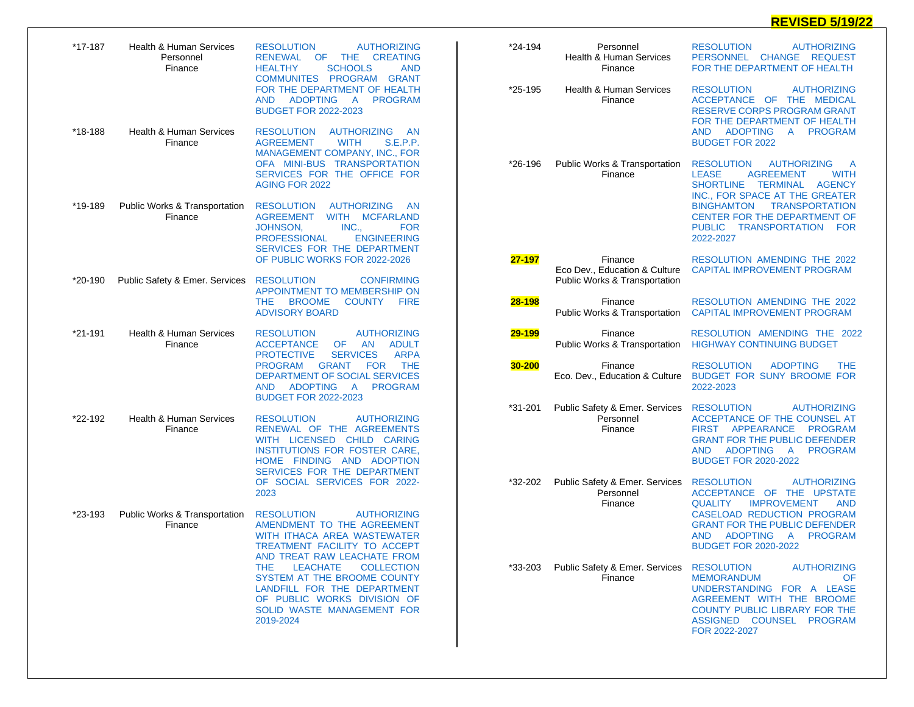## **REVISED 5/19/22**

| *17-187 | <b>Health &amp; Human Services</b><br>Personnel<br>Finance | <b>AUTHORIZING</b><br><b>RESOLUTION</b><br>OF<br><b>THE</b><br><b>CREATING</b><br><b>RENEWAL</b><br><b>SCHOOLS</b><br><b>HEALTHY</b><br><b>AND</b><br>COMMUNITES PROGRAM GRANT                  | *24-194 | Personnel<br><b>Health &amp; Human Services</b><br>Finance                | <b>RESOLUTION</b><br><b>AUTHORIZING</b><br>PERSONNEL CHANGE REQUEST<br>FOR THE DEPARTMENT OF HEALTH                                                                                                                         |
|---------|------------------------------------------------------------|-------------------------------------------------------------------------------------------------------------------------------------------------------------------------------------------------|---------|---------------------------------------------------------------------------|-----------------------------------------------------------------------------------------------------------------------------------------------------------------------------------------------------------------------------|
|         |                                                            | FOR THE DEPARTMENT OF HEALTH<br><b>ADOPTING</b><br>A PROGRAM<br>AND.<br><b>BUDGET FOR 2022-2023</b>                                                                                             | *25-195 | <b>Health &amp; Human Services</b><br>Finance                             | <b>RESOLUTION</b><br><b>AUTHORIZING</b><br>ACCEPTANCE OF THE MEDICAL<br><b>RESERVE CORPS PROGRAM GRANT</b><br>FOR THE DEPARTMENT OF HEALTH                                                                                  |
| *18-188 | <b>Health &amp; Human Services</b><br>Finance              | <b>RESOLUTION</b><br>AUTHORIZING AN<br><b>WITH</b><br><b>S.E.P.P.</b><br><b>AGREEMENT</b><br>MANAGEMENT COMPANY, INC., FOR<br>OFA MINI-BUS TRANSPORTATION<br>SERVICES FOR THE OFFICE FOR        | *26-196 | Public Works & Transportation<br>Finance                                  | AND ADOPTING A PROGRAM<br><b>BUDGET FOR 2022</b><br><b>RESOLUTION</b><br><b>AUTHORIZING</b><br>A<br><b>AGREEMENT</b><br><b>WITH</b><br><b>LEASE</b>                                                                         |
| *19-189 | Public Works & Transportation<br>Finance                   | <b>AGING FOR 2022</b><br><b>RESOLUTION</b><br><b>AUTHORIZING</b><br>- AN<br>AGREEMENT<br>WITH MCFARLAND                                                                                         |         |                                                                           | SHORTLINE TERMINAL<br><b>AGENCY</b><br>INC., FOR SPACE AT THE GREATER<br>BINGHAMTON TRANSPORTATION<br><b>CENTER FOR THE DEPARTMENT OF</b>                                                                                   |
|         |                                                            | JOHNSON,<br>INC.,<br><b>FOR</b><br><b>PROFESSIONAL</b><br><b>ENGINEERING</b><br>SERVICES FOR THE DEPARTMENT                                                                                     |         |                                                                           | PUBLIC TRANSPORTATION FOR<br>2022-2027                                                                                                                                                                                      |
| *20-190 | Public Safety & Emer. Services                             | OF PUBLIC WORKS FOR 2022-2026<br><b>CONFIRMING</b><br><b>RESOLUTION</b><br>APPOINTMENT TO MEMBERSHIP ON                                                                                         | 27-197  | Finance<br>Eco Dev., Education & Culture<br>Public Works & Transportation | RESOLUTION AMENDING THE 2022<br><b>CAPITAL IMPROVEMENT PROGRAM</b>                                                                                                                                                          |
|         |                                                            | <b>BROOME</b><br>COUNTY FIRE<br>THE<br><b>ADVISORY BOARD</b>                                                                                                                                    | 28-198  | Finance<br>Public Works & Transportation                                  | RESOLUTION AMENDING THE 2022<br><b>CAPITAL IMPROVEMENT PROGRAM</b>                                                                                                                                                          |
| *21-191 | <b>Health &amp; Human Services</b><br>Finance              | <b>AUTHORIZING</b><br><b>RESOLUTION</b><br><b>ACCEPTANCE</b><br><b>OF</b><br>AN<br><b>ADULT</b><br><b>SERVICES</b><br><b>ARPA</b><br><b>PROTECTIVE</b>                                          | 29-199  | Finance<br>Public Works & Transportation                                  | RESOLUTION AMENDING THE 2022<br><b>HIGHWAY CONTINUING BUDGET</b>                                                                                                                                                            |
|         |                                                            | <b>GRANT</b><br><b>THE</b><br><b>PROGRAM</b><br>FOR<br>DEPARTMENT OF SOCIAL SERVICES<br>ADOPTING<br>A PROGRAM<br>AND.<br><b>BUDGET FOR 2022-2023</b>                                            | 30-200  | Finance<br>Eco. Dev., Education & Culture                                 | <b>RESOLUTION</b><br><b>ADOPTING</b><br><b>THE</b><br>BUDGET FOR SUNY BROOME FOR<br>2022-2023                                                                                                                               |
| *22-192 | Health & Human Services<br>Finance                         | <b>AUTHORIZING</b><br><b>RESOLUTION</b><br>RENEWAL OF THE AGREEMENTS<br>WITH LICENSED CHILD CARING<br>INSTITUTIONS FOR FOSTER CARE.<br>HOME FINDING AND ADOPTION<br>SERVICES FOR THE DEPARTMENT | *31-201 | Public Safety & Emer. Services<br>Personnel<br>Finance                    | <b>RESOLUTION</b><br><b>AUTHORIZING</b><br>ACCEPTANCE OF THE COUNSEL AT<br>FIRST APPEARANCE<br><b>PROGRAM</b><br><b>GRANT FOR THE PUBLIC DEFENDER</b><br>ADOPTING A<br>PROGRAM<br><b>AND</b><br><b>BUDGET FOR 2020-2022</b> |
|         |                                                            | OF SOCIAL SERVICES FOR 2022-<br>2023                                                                                                                                                            | *32-202 | Public Safety & Emer. Services<br>Personnel<br>Finance                    | <b>RESOLUTION</b><br><b>AUTHORIZING</b><br>ACCEPTANCE OF THE UPSTATE<br><b>IMPROVEMENT</b><br><b>QUALITY</b><br><b>AND</b>                                                                                                  |
| *23-193 | Public Works & Transportation<br>Finance                   | <b>RESOLUTION</b><br><b>AUTHORIZING</b><br>AMENDMENT TO THE AGREEMENT<br>WITH ITHACA AREA WASTEWATER<br>TREATMENT FACILITY TO ACCEPT<br>AND TREAT RAW LEACHATE FROM                             |         |                                                                           | <b>CASELOAD REDUCTION PROGRAM</b><br><b>GRANT FOR THE PUBLIC DEFENDER</b><br><b>ADOPTING</b><br>$\mathsf{A}$<br><b>PROGRAM</b><br><b>AND</b><br><b>BUDGET FOR 2020-2022</b>                                                 |
|         |                                                            | LEACHATE<br>THE.<br>COLLECTION<br>SYSTEM AT THE BROOME COUNTY<br>LANDFILL FOR THE DEPARTMENT<br>OF PUBLIC WORKS DIVISION OF<br>SOLID WASTE MANAGEMENT FOR<br>2019-2024                          | *33-203 | Public Safety & Emer. Services RESOLUTION<br>Finance                      | <b>AUTHORIZING</b><br><b>MEMORANDUM</b><br>OF.<br>UNDERSTANDING FOR A LEASE<br>AGREEMENT WITH THE BROOME<br><b>COUNTY PUBLIC LIBRARY FOR THE</b><br>ASSIGNED COUNSEL PROGRAM<br>FOR 2022-2027                               |